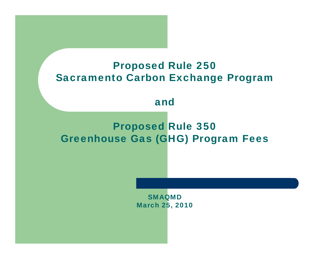#### Proposed Rule 250 Sacramento Carbon Exchange Program

#### and

### Proposed Rule 350 Greenhouse Gas (GHG) Program Fees

SMAQMDMarch 25, 2010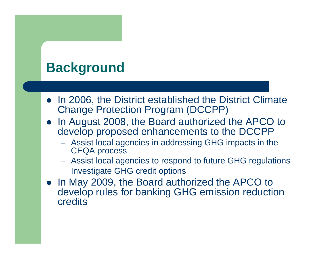### **Background**

- In 2006, the District established the District Climate Change Protection Program (DCCPP)
- In August 2008, the Board authorized the APCO to develop proposed enhancements to the DCCPP
	- Assist local agencies in addressing GHG impacts in the CEQA process
	- Assist local agencies to respond to future GHG regulations
	- Investigate GHG credit options
- In May 2009, the Board authorized the APCO to develop rules for banking GHG emission reduction credits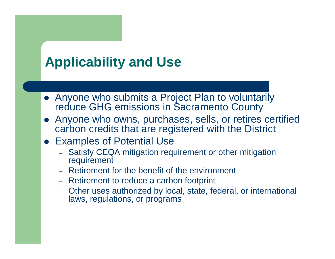## **Applicability and Use**

- Anyone who submits a Project Plan to voluntarily reduce GHG emissions in Sacramento County
- Anyone who owns, purchases, sells, or retires certified carbon credits that are registered with the District
- Examples of Potential Use
	- Satisfy CEQA mitigation requirement or other mitigation requirement
	- Retirement for the benefit of the environment
	- Retirement to reduce a carbon footprint
	- Other uses authorized by local, state, federal, or international laws, regulations, or programs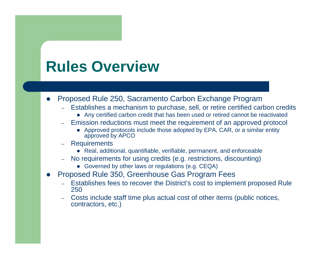# **Rules Overview**

- $\bullet$  Proposed Rule 250, Sacramento Carbon Exchange Program
	- – Establishes a mechanism to purchase, sell, or retire certified carbon credits
		- Any certified carbon credit that has been used or retired cannot be reactivated
	- – Emission reductions must meet the requirement of an approved protocol
		- Approved protocols include those adopted by EPA, CAR, or a similar entity approved by APCO
	- –**Requirements** 
		- Real, additional, quantifiable, verifiable, permanent, and enforceable
	- – No requirements for using credits (e.g. restrictions, discounting)
		- Governed by other laws or regulations (e.g. CEQA)
- $\bullet$  Proposed Rule 350, Greenhouse Gas Program Fees
	- Establishes fees to recover the District's cost to implement proposed Rule 250
	- – Costs include staff time plus actual cost of other items (public notices, contractors, etc.)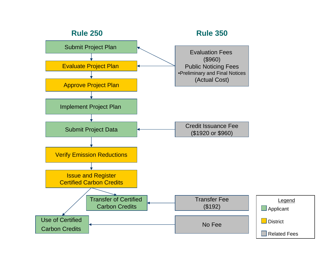